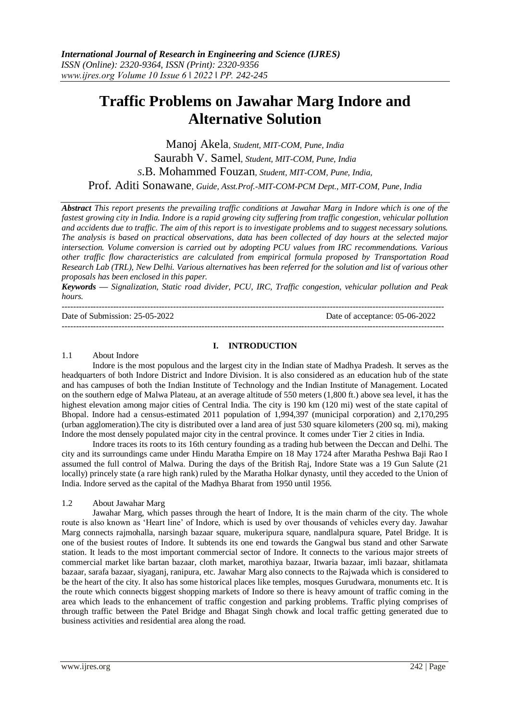# **Traffic Problems on Jawahar Marg Indore and Alternative Solution**

Manoj Akela*, Student, MIT-COM, Pune, India* Saurabh V. Samel*, Student, MIT-COM, Pune, India S*.B. Mohammed Fouzan*, Student, MIT-COM, Pune, India,* Prof. Aditi Sonawane*, Guide, Asst.Prof.-MIT-COM-PCM Dept., MIT-COM, Pune, India*

*Abstract This report presents the prevailing traffic conditions at Jawahar Marg in Indore which is one of the fastest growing city in India. Indore is a rapid growing city suffering from traffic congestion, vehicular pollution and accidents due to traffic. The aim of this report is to investigate problems and to suggest necessary solutions. The analysis is based on practical observations, data has been collected of day hours at the selected major intersection. Volume conversion is carried out by adopting PCU values from IRC recommendations. Various other traffic flow characteristics are calculated from empirical formula proposed by Transportation Road Research Lab (TRL), New Delhi. Various alternatives has been referred for the solution and list of various other proposals has been enclosed in this paper.*

*Keywords — Signalization, Static road divider, PCU, IRC, Traffic congestion, vehicular pollution and Peak hours.*

-------------------------------------------------------------------------------------------------------------------------------------- Date of Submission: 25-05-2022 Date of acceptance: 05-06-2022 --------------------------------------------------------------------------------------------------------------------------------------

## **I. INTRODUCTION**

#### 1.1 About Indore

Indore is the most populous and the largest city in the Indian state of Madhya Pradesh. It serves as the headquarters of both Indore District and Indore Division. It is also considered as an education hub of the state and has campuses of both the Indian Institute of Technology and the Indian Institute of Management. Located on the southern edge of Malwa Plateau, at an average altitude of 550 meters (1,800 ft.) above sea level, it has the highest elevation among major cities of Central India. The city is 190 km (120 mi) west of the state capital of Bhopal. Indore had a census-estimated 2011 population of 1,994,397 (municipal corporation) and 2,170,295 (urban agglomeration).The city is distributed over a land area of just 530 square kilometers (200 sq. mi), making Indore the most densely populated major city in the central province. It comes under Tier 2 cities in India.

Indore traces its roots to its 16th century founding as a trading hub between the Deccan and Delhi. The city and its surroundings came under Hindu Maratha Empire on 18 May 1724 after Maratha Peshwa Baji Rao I assumed the full control of Malwa. During the days of the British Raj, Indore State was a 19 Gun Salute (21 locally) princely state (a rare high rank) ruled by the Maratha Holkar dynasty, until they acceded to the Union of India. Indore served as the capital of the Madhya Bharat from 1950 until 1956.

## 1.2 About Jawahar Marg

Jawahar Marg, which passes through the heart of Indore, It is the main charm of the city. The whole route is also known as 'Heart line' of Indore, which is used by over thousands of vehicles every day. Jawahar Marg connects rajmohalla, narsingh bazaar square, mukeripura square, nandlalpura square, Patel Bridge. It is one of the busiest routes of Indore. It subtends its one end towards the Gangwal bus stand and other Sarwate station. It leads to the most important commercial sector of Indore. It connects to the various major streets of commercial market like bartan bazaar, cloth market, marothiya bazaar, Itwaria bazaar, imli bazaar, shitlamata bazaar, sarafa bazaar, siyaganj, ranipura, etc. Jawahar Marg also connects to the Rajwada which is considered to be the heart of the city. It also has some historical places like temples, mosques Gurudwara, monuments etc. It is the route which connects biggest shopping markets of Indore so there is heavy amount of traffic coming in the area which leads to the enhancement of traffic congestion and parking problems. Traffic plying comprises of through traffic between the Patel Bridge and Bhagat Singh chowk and local traffic getting generated due to business activities and residential area along the road.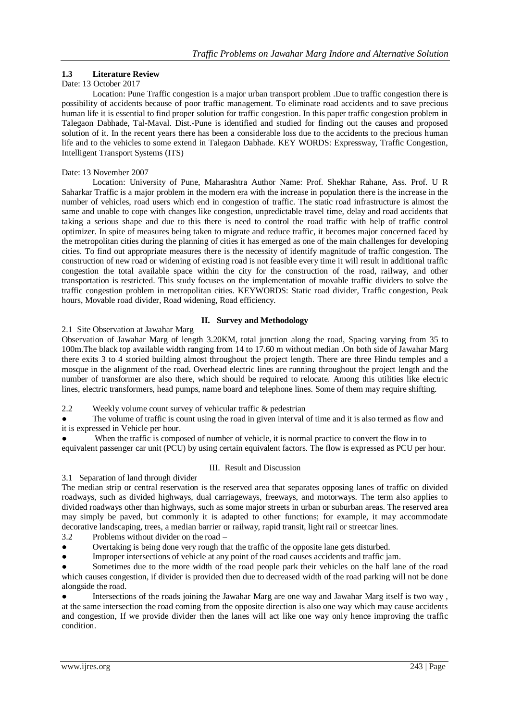# **1.3 Literature Review**

## Date: 13 October 2017

Location: Pune Traffic congestion is a major urban transport problem .Due to traffic congestion there is possibility of accidents because of poor traffic management. To eliminate road accidents and to save precious human life it is essential to find proper solution for traffic congestion. In this paper traffic congestion problem in Talegaon Dabhade, Tal-Maval. Dist.-Pune is identified and studied for finding out the causes and proposed solution of it. In the recent years there has been a considerable loss due to the accidents to the precious human life and to the vehicles to some extend in Talegaon Dabhade. KEY WORDS: Expressway, Traffic Congestion, Intelligent Transport Systems (ITS)

## Date: 13 November 2007

Location: University of Pune, Maharashtra Author Name: Prof. Shekhar Rahane, Ass. Prof. U R Saharkar Traffic is a major problem in the modern era with the increase in population there is the increase in the number of vehicles, road users which end in congestion of traffic. The static road infrastructure is almost the same and unable to cope with changes like congestion, unpredictable travel time, delay and road accidents that taking a serious shape and due to this there is need to control the road traffic with help of traffic control optimizer. In spite of measures being taken to migrate and reduce traffic, it becomes major concerned faced by the metropolitan cities during the planning of cities it has emerged as one of the main challenges for developing cities. To find out appropriate measures there is the necessity of identify magnitude of traffic congestion. The construction of new road or widening of existing road is not feasible every time it will result in additional traffic congestion the total available space within the city for the construction of the road, railway, and other transportation is restricted. This study focuses on the implementation of movable traffic dividers to solve the traffic congestion problem in metropolitan cities. KEYWORDS: Static road divider, Traffic congestion, Peak hours, Movable road divider, Road widening, Road efficiency.

# **II. Survey and Methodology**

## 2.1 Site Observation at Jawahar Marg

Observation of Jawahar Marg of length 3.20KM, total junction along the road, Spacing varying from 35 to 100m.The black top available width ranging from 14 to 17.60 m without median .On both side of Jawahar Marg there exits 3 to 4 storied building almost throughout the project length. There are three Hindu temples and a mosque in the alignment of the road. Overhead electric lines are running throughout the project length and the number of transformer are also there, which should be required to relocate. Among this utilities like electric lines, electric transformers, head pumps, name board and telephone lines. Some of them may require shifting.

2.2 Weekly volume count survey of vehicular traffic & pedestrian

The volume of traffic is count using the road in given interval of time and it is also termed as flow and it is expressed in Vehicle per hour.

When the traffic is composed of number of vehicle, it is normal practice to convert the flow in to equivalent passenger car unit (PCU) by using certain equivalent factors. The flow is expressed as PCU per hour.

## III. Result and Discussion

# 3.1 Separation of land through divider

The median strip or central reservation is the reserved area that separates opposing lanes of traffic on divided roadways, such as divided highways, dual carriageways, freeways, and motorways. The term also applies to divided roadways other than highways, such as some major streets in urban or suburban areas. The reserved area may simply be paved, but commonly it is adapted to other functions; for example, it may accommodate decorative landscaping, trees, a median barrier or railway, rapid transit, light rail or streetcar lines.

3.2 Problems without divider on the road –

Overtaking is being done very rough that the traffic of the opposite lane gets disturbed.

Improper intersections of vehicle at any point of the road causes accidents and traffic jam.

Sometimes due to the more width of the road people park their vehicles on the half lane of the road which causes congestion, if divider is provided then due to decreased width of the road parking will not be done alongside the road.

Intersections of the roads joining the Jawahar Marg are one way and Jawahar Marg itself is two way, at the same intersection the road coming from the opposite direction is also one way which may cause accidents and congestion, If we provide divider then the lanes will act like one way only hence improving the traffic condition.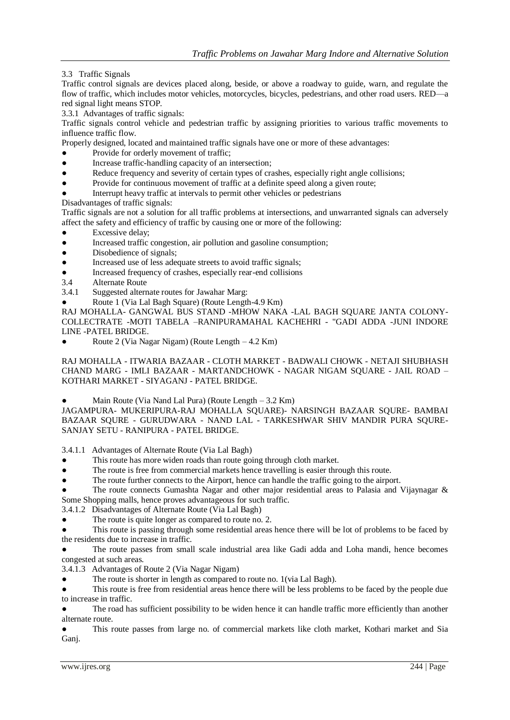3.3 Traffic Signals

Traffic control signals are devices placed along, beside, or above a roadway to guide, warn, and regulate the flow of traffic, which includes motor vehicles, motorcycles, bicycles, pedestrians, and other road users. RED—a red signal light means STOP.

3.3.1 Advantages of traffic signals:

Traffic signals control vehicle and pedestrian traffic by assigning priorities to various traffic movements to influence traffic flow.

Properly designed, located and maintained traffic signals have one or more of these advantages:

- Provide for orderly movement of traffic;
- Increase traffic-handling capacity of an intersection;
- Reduce frequency and severity of certain types of crashes, especially right angle collisions;
- Provide for continuous movement of traffic at a definite speed along a given route;
- Interrupt heavy traffic at intervals to permit other vehicles or pedestrians

Disadvantages of traffic signals:

Traffic signals are not a solution for all traffic problems at intersections, and unwarranted signals can adversely affect the safety and efficiency of traffic by causing one or more of the following:

- Excessive delay;
- Increased traffic congestion, air pollution and gasoline consumption;
- Disobedience of signals:
- Increased use of less adequate streets to avoid traffic signals;
- Increased frequency of crashes, especially rear-end collisions
- 3.4 Alternate Route
- 3.4.1 Suggested alternate routes for Jawahar Marg:
- Route 1 (Via Lal Bagh Square) (Route Length-4.9 Km)

RAJ MOHALLA- GANGWAL BUS STAND -MHOW NAKA -LAL BAGH SQUARE JANTA COLONY-COLLECTRATE -MOTI TABELA –RANIPURAMAHAL KACHEHRI - "GADI ADDA -JUNI INDORE LINE -PATEL BRIDGE.

● Route 2 (Via Nagar Nigam) (Route Length – 4.2 Km)

RAJ MOHALLA - ITWARIA BAZAAR - CLOTH MARKET - BADWALI CHOWK - NETAJI SHUBHASH CHAND MARG - IMLI BAZAAR - MARTANDCHOWK - NAGAR NIGAM SQUARE - JAIL ROAD – KOTHARI MARKET - SIYAGANJ - PATEL BRIDGE.

Main Route (Via Nand Lal Pura) (Route Length  $-3.2$  Km)

JAGAMPURA- MUKERIPURA-RAJ MOHALLA SQUARE)- NARSINGH BAZAAR SQURE- BAMBAI BAZAAR SQURE - GURUDWARA - NAND LAL - TARKESHWAR SHIV MANDIR PURA SQURE-SANJAY SETU - RANIPURA - PATEL BRIDGE.

3.4.1.1 Advantages of Alternate Route (Via Lal Bagh)

- This route has more widen roads than route going through cloth market.
- The route is free from commercial markets hence travelling is easier through this route.
- The route further connects to the Airport, hence can handle the traffic going to the airport.

The route connects Gumashta Nagar and other major residential areas to Palasia and Vijaynagar & Some Shopping malls, hence proves advantageous for such traffic.

3.4.1.2 Disadvantages of Alternate Route (Via Lal Bagh)

The route is quite longer as compared to route no. 2.

This route is passing through some residential areas hence there will be lot of problems to be faced by the residents due to increase in traffic.

The route passes from small scale industrial area like Gadi adda and Loha mandi, hence becomes congested at such areas.

3.4.1.3 Advantages of Route 2 (Via Nagar Nigam)

The route is shorter in length as compared to route no. 1(via Lal Bagh).

This route is free from residential areas hence there will be less problems to be faced by the people due to increase in traffic.

The road has sufficient possibility to be widen hence it can handle traffic more efficiently than another alternate route.

This route passes from large no. of commercial markets like cloth market, Kothari market and Sia Ganj.